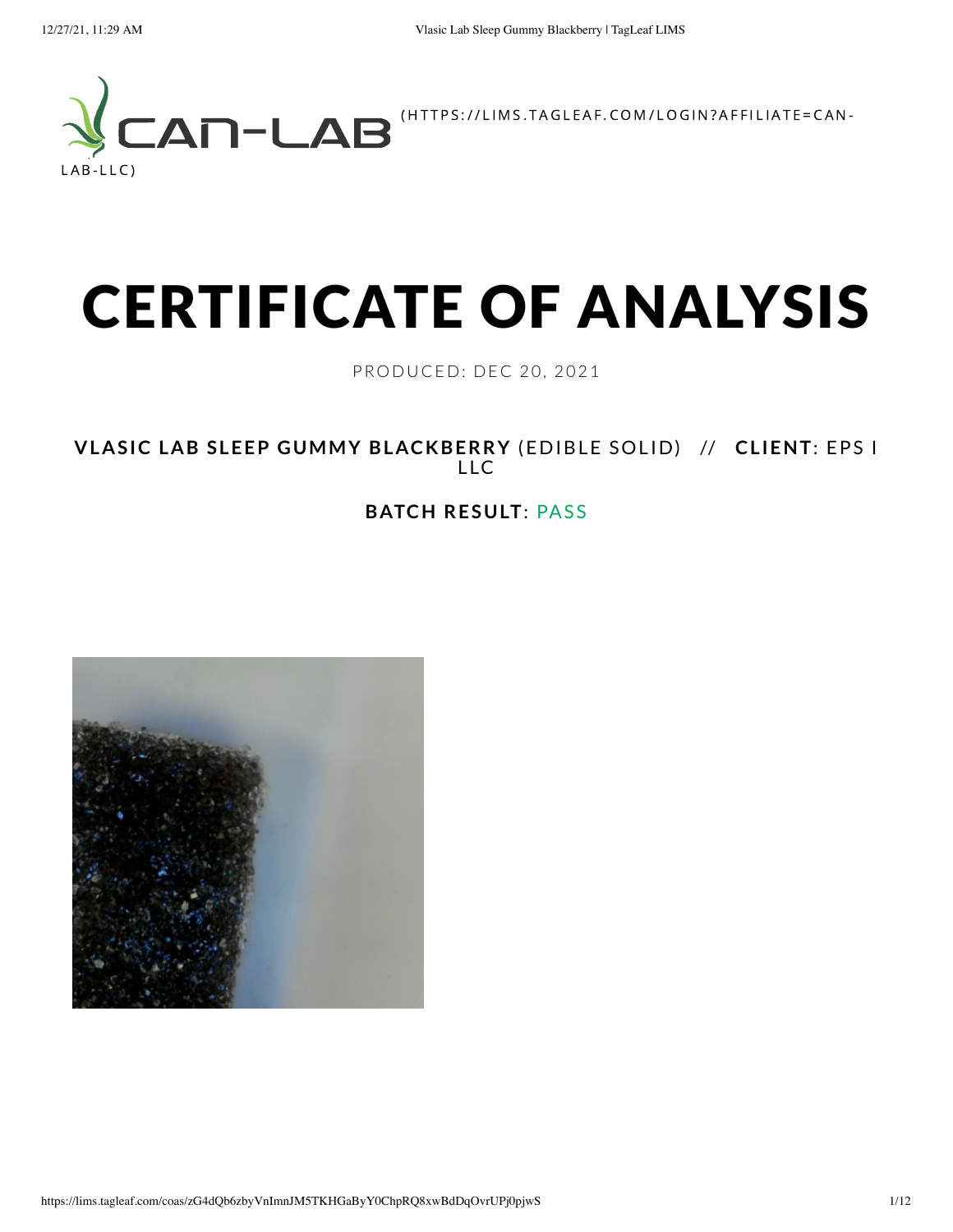

# CERTIFICATE OF ANALYSIS

PRODUCED: DEC 20, 2021

**VLASIC LAB SLEEP GUMMY BLACKBERRY** (EDIBLE SOLID) // **CLIENT**: EPS I LLC

#### **BATCH RESULT**: PASS

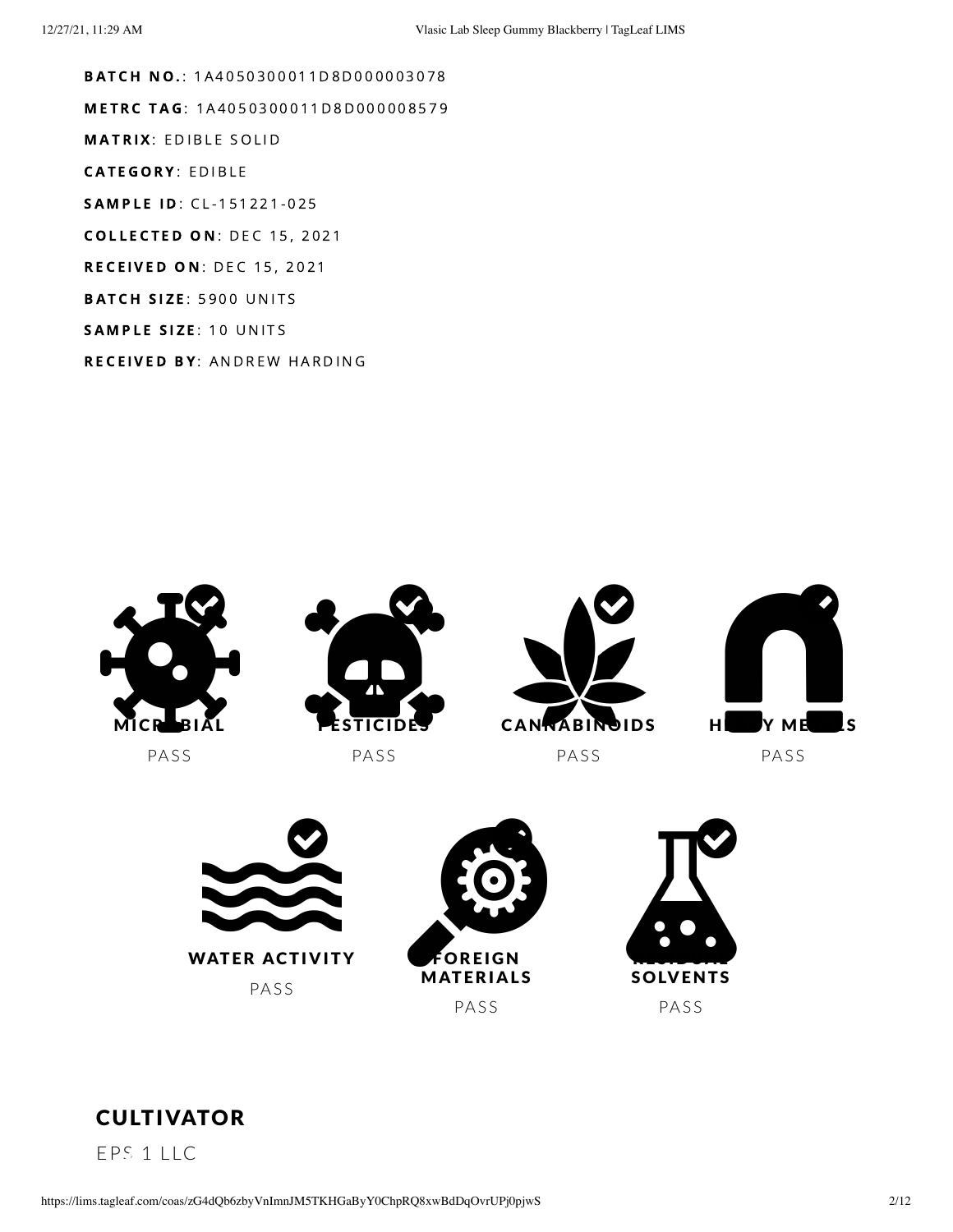**BATCH NO.: 1A4050300011D8D000003078** METRC TAG: 1A4050300011D8D000008579 **MATRIX: EDIBLE SOLID CATEGORY: EDIBLE** SAMPLE ID: CL-151221-025 **COLLECTED ON: DEC 15, 2021 RECEIVED ON: DEC 15, 2021** BATCH SIZE: 5900 UNITS SAMPLE SIZE: 10 UNITS RECEIVED BY: ANDREW HARDING







EPS 1 LLC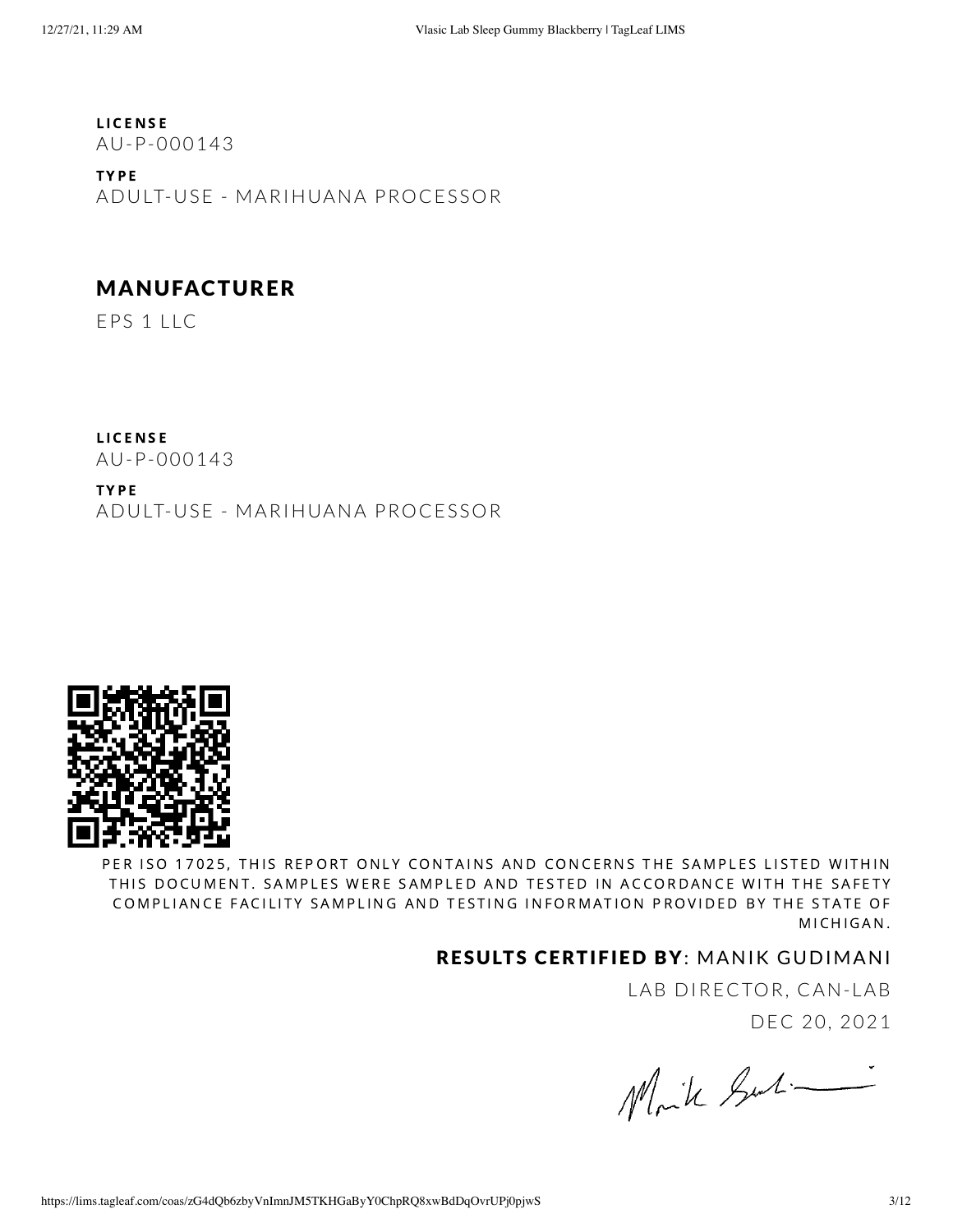**LICENSE** AU-P-000143

T Y P E ADULT-USE - MARIHUANA PROCESSOR

#### MANUFACTURER

EPS 1 LLC

**LICENSE** AU-P-000143

T Y P E ADULT-USE - MARIHUANA PROCESSOR



PER ISO 17025, THIS REPORT ONLY CONTAINS AND CONCERNS THE SAMPLES LISTED WITHIN THIS DOCUMENT. SAMPLES WERE SAMPLED AND TESTED IN ACCORDANCE WITH THE SAFETY COMPLIANCE FACILITY SAMPLING AND TESTING INFORMATION PROVIDED BY THE STATE OF MICHIGAN.

#### RESULTS CERTIFIED BY: MANIK GUDIMANI

LAB DIRECTOR, CAN-LAB DEC 20, 2021

Moik Surti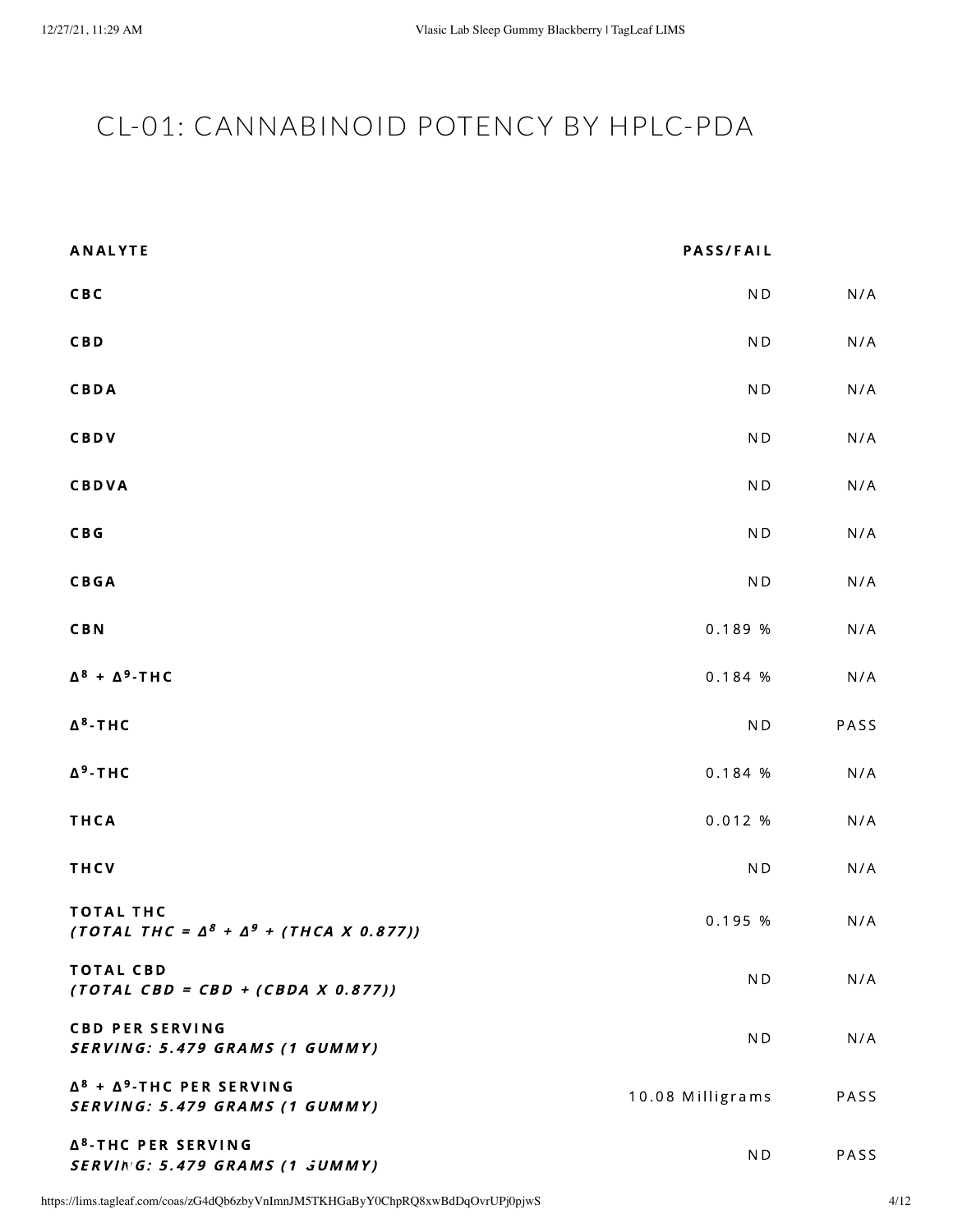## <span id="page-3-0"></span>CL-01: CANNABINOID POTENCY BY HPLC-PDA

| <b>ANALYTE</b>                                                             | <b>PASS/FAIL</b>         |      |
|----------------------------------------------------------------------------|--------------------------|------|
| CBC                                                                        | N <sub>D</sub>           | N/A  |
| <b>CBD</b>                                                                 | N <sub>D</sub>           | N/A  |
| CBDA                                                                       | $\mathsf{N}\,\mathsf{D}$ | N/A  |
| CBDV                                                                       | N <sub>D</sub>           | N/A  |
| <b>CBDVA</b>                                                               | N <sub>D</sub>           | N/A  |
| C B G                                                                      | N <sub>D</sub>           | N/A  |
| <b>CBGA</b>                                                                | $\mathsf{N}\,\mathsf{D}$ | N/A  |
| <b>CBN</b>                                                                 | 0.189 %                  | N/A  |
| $\Delta^8$ + $\Delta^9$ -THC                                               | 0.184 %                  | N/A  |
| $\Delta^8$ -THC                                                            | $\mathsf{N}\,\mathsf{D}$ | PASS |
| $\Delta^9$ -THC                                                            | 0.184 %                  | N/A  |
| THCA                                                                       | 0.012%                   | N/A  |
| THCV                                                                       | $\mathsf{N}\,\mathsf{D}$ | N/A  |
| <b>TOTAL THC</b><br>(TOTAL THC = $\Delta^8$ + $\Delta^9$ + (THCA X 0.877)) | 0.195 %                  | N/A  |
| <b>TOTAL CBD</b><br>$(TOTAL$ $CBD = CBD + (CBDA X 0.877))$                 | ND                       | N/A  |
| <b>CBD PER SERVING</b><br>SERVING: 5.479 GRAMS (1 GUMMY)                   | ND.                      | N/A  |
| $\Delta^8$ + $\Delta^9$ -THC PER SERVING<br>SERVING: 5.479 GRAMS (1 GUMMY) | 10.08 Milligrams         | PASS |
| Δ <sup>8</sup> -THC PER SERVING<br>SERVING: 5.479 GRAMS (1 JUMMY)          | ND                       | PASS |

https://lims.tagleaf.com/coas/zG4dQb6zbyVnImnJM5TKHGaByY0ChpRQ8xwBdDqOvrUPj0pjwS 4/12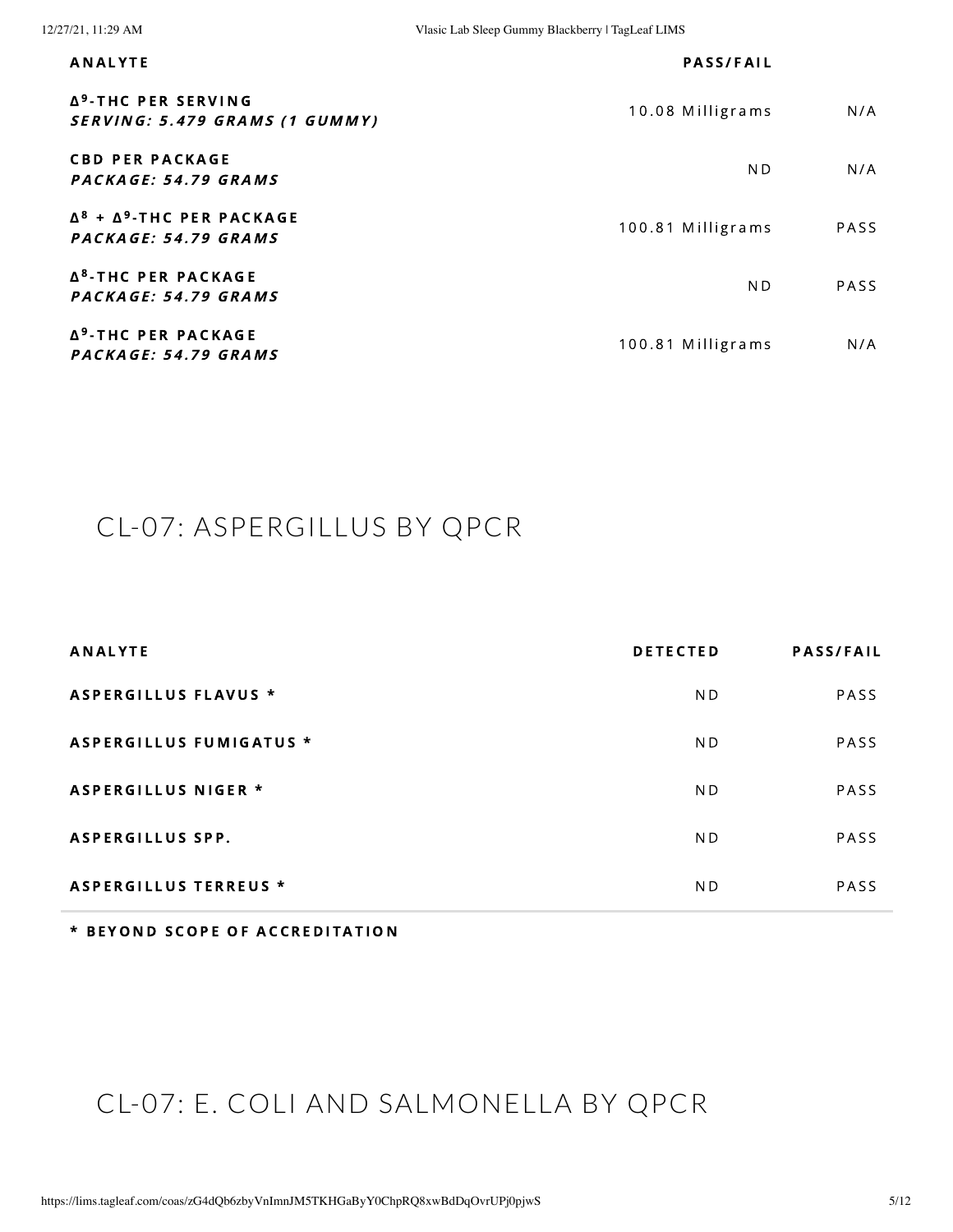| <b>ANALYTE</b>                                                    | <b>PASS/FAIL</b>  |             |
|-------------------------------------------------------------------|-------------------|-------------|
| Δ <sup>9</sup> -THC PER SERVING<br>SERVING: 5.479 GRAMS (1 GUMMY) | 10.08 Milligrams  | N/A         |
| <b>CBD PER PACKAGE</b><br>PACKAGE: 54.79 GRAMS                    | N <sub>D</sub>    | N/A         |
| $\Delta^8$ + $\Delta^9$ -THC PER PACKAGE<br>PACKAGE: 54.79 GRAMS  | 100.81 Milligrams | <b>PASS</b> |
| Δ <sup>8</sup> -THC PER PACKAGE<br>PACKAGE: 54.79 GRAMS           | N <sub>D</sub>    | PASS        |
| Δ <sup>9</sup> -THC PER PACKAGE<br>PACKAGE: 54.79 GRAMS           | 100.81 Milligrams | N/A         |

## <span id="page-4-0"></span>CL-07: ASPERGILLUS BY QPCR

| <b>ANALYTE</b>                 | <b>DETECTED</b> | <b>PASS/FAIL</b> |
|--------------------------------|-----------------|------------------|
| ASPERGILLUS FLAVUS *           | ND.             | <b>PASS</b>      |
| <b>ASPERGILLUS FUMIGATUS *</b> | ND.             | PASS             |
| <b>ASPERGILLUS NIGER *</b>     | ND.             | <b>PASS</b>      |
| <b>ASPERGILLUS SPP.</b>        | ND.             | PASS             |
| <b>ASPERGILLUS TERREUS *</b>   | N <sub>D</sub>  | PASS             |

\* BEYOND SCOPE OF ACCREDITATION

# CL-07: E. COLI AND SALMONELLA BY QPCR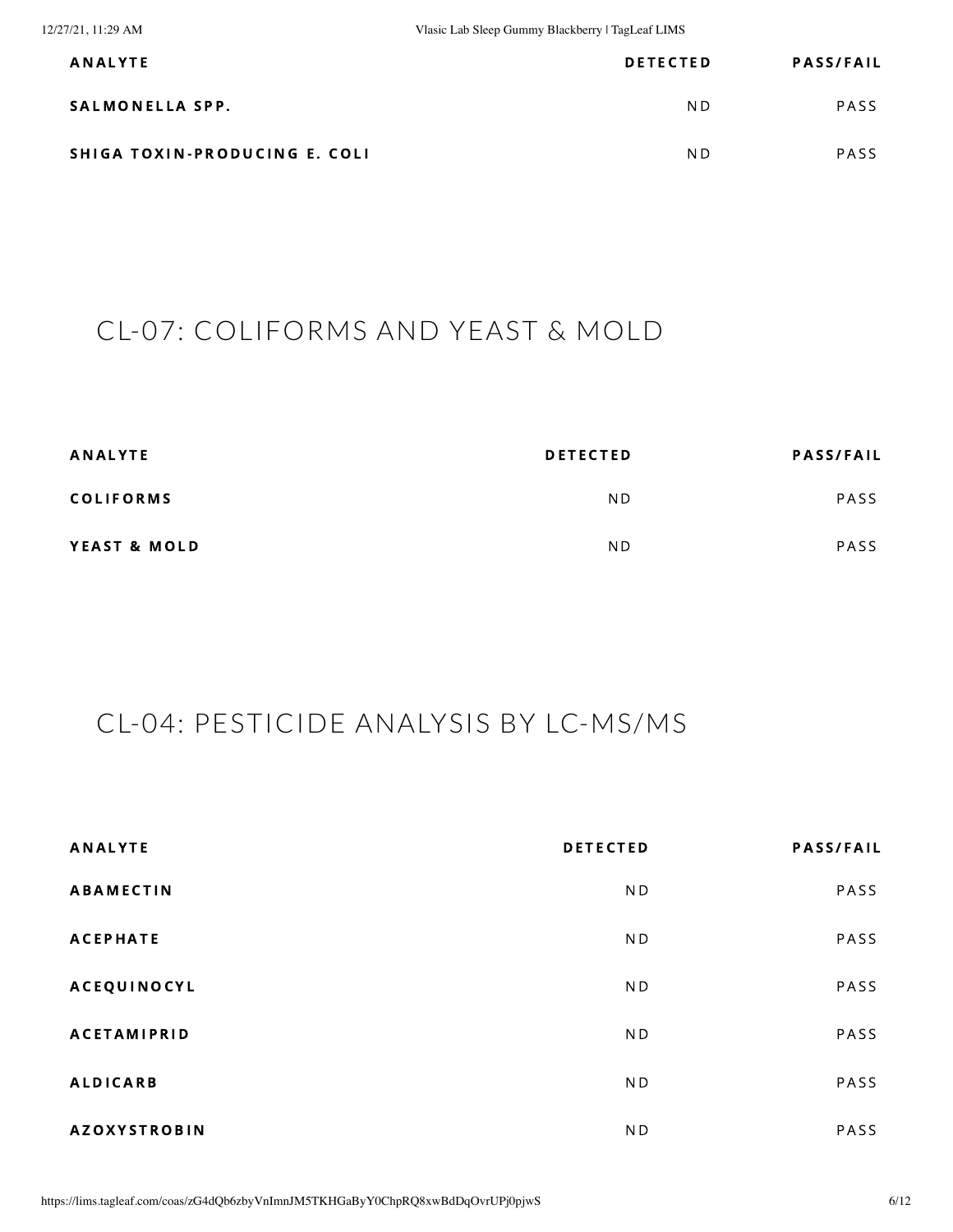| <b>ANALYTE</b>                | <b>DETECTED</b> | <b>PASS/FAIL</b> |
|-------------------------------|-----------------|------------------|
| SALMONELLA SPP.               | ND.             | <b>PASS</b>      |
| SHIGA TOXIN-PRODUCING E. COLI | ND.             | <b>PASS</b>      |

#### CL-07: COLIFORMS AND YEAST & MOLD

| <b>ANALYTE</b>   | <b>DETECTED</b> | <b>PASS/FAIL</b> |
|------------------|-----------------|------------------|
| <b>COLIFORMS</b> | ND              | PASS             |
| YEAST & MOLD     | N <sub>D</sub>  | <b>PASS</b>      |

#### <span id="page-5-0"></span>CL-04: PESTICIDE ANALYSIS BY LC-MS/MS

| <b>ANALYTE</b>      | <b>DETECTED</b> | <b>PASS/FAIL</b> |
|---------------------|-----------------|------------------|
| <b>ABAMECTIN</b>    | N <sub>D</sub>  | PASS             |
| <b>ACEPHATE</b>     | ND              | PASS             |
| <b>ACEQUINOCYL</b>  | ND              | PASS             |
| <b>ACETAMIPRID</b>  | ND              | PASS             |
| <b>ALDICARB</b>     | ND              | PASS             |
| <b>AZOXYSTROBIN</b> | ND              | PASS             |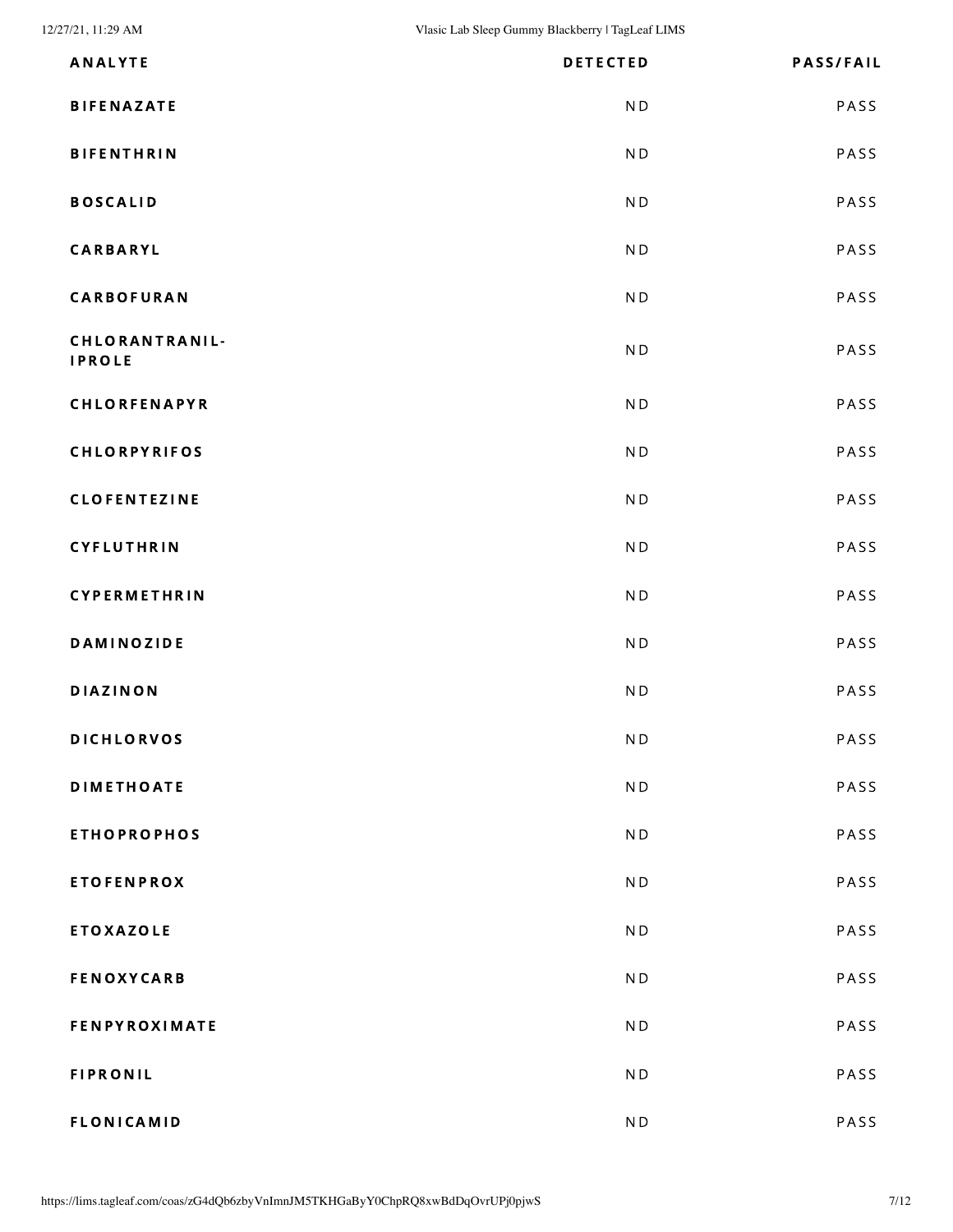12/27/21, 11:29 AM Vlasic Lab Sleep Gummy Blackberry | TagLeaf LIMS

| <b>ANALYTE</b>                  | <b>DETECTED</b>          | <b>PASS/FAIL</b> |
|---------------------------------|--------------------------|------------------|
| <b>BIFENAZATE</b>               | N <sub>D</sub>           | PASS             |
| <b>BIFENTHRIN</b>               | ND                       | PASS             |
| <b>BOSCALID</b>                 | N <sub>D</sub>           | PASS             |
| <b>CARBARYL</b>                 | N <sub>D</sub>           | PASS             |
| CARBOFURAN                      | N <sub>D</sub>           | PASS             |
| CHLORANTRANIL-<br><b>IPROLE</b> | N <sub>D</sub>           | PASS             |
| CHLORFENAPYR                    | N <sub>D</sub>           | PASS             |
| <b>CHLORPYRIFOS</b>             | ND                       | PASS             |
| <b>CLOFENTEZINE</b>             | N <sub>D</sub>           | PASS             |
| CYFLUTHRIN                      | ND                       | PASS             |
| CYPERMETHRIN                    | N <sub>D</sub>           | PASS             |
| <b>DAMINOZIDE</b>               | N <sub>D</sub>           | PASS             |
| <b>DIAZINON</b>                 | N <sub>D</sub>           | PASS             |
| <b>DICHLORVOS</b>               | N <sub>D</sub>           | PASS             |
| <b>DIMETHOATE</b>               | N <sub>D</sub>           | PASS             |
| <b>ETHOPROPHOS</b>              | ND                       | PASS             |
| <b>ETOFENPROX</b>               | N <sub>D</sub>           | PASS             |
| <b>ETOXAZOLE</b>                | N <sub>D</sub>           | PASS             |
| <b>FENOXYCARB</b>               | N <sub>D</sub>           | PASS             |
| <b>FENPYROXIMATE</b>            | N <sub>D</sub>           | PASS             |
| <b>FIPRONIL</b>                 | N <sub>D</sub>           | PASS             |
| <b>FLONICAMID</b>               | $\mathsf{N}\,\mathsf{D}$ | PASS             |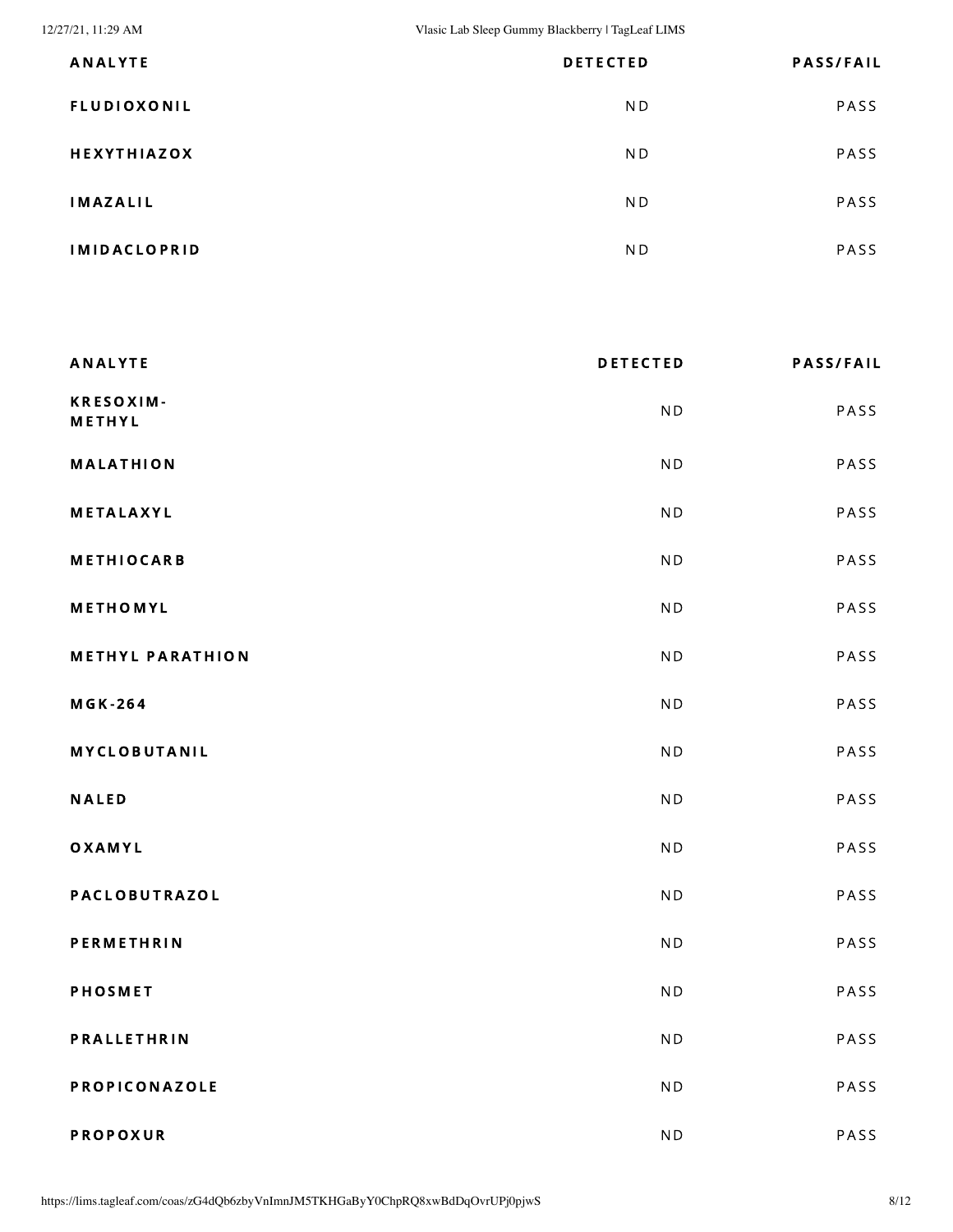12/27/21, 11:29 AM Vlasic Lab Sleep Gummy Blackberry | TagLeaf LIMS

| <b>ANALYTE</b>      | <b>DETECTED</b> | <b>PASS/FAIL</b> |
|---------------------|-----------------|------------------|
| <b>FLUDIOXONIL</b>  | ND.             | PASS             |
| <b>HEXYTHIAZOX</b>  | N D             | PASS             |
| <b>IMAZALIL</b>     | ND.             | PASS             |
| <b>IMIDACLOPRID</b> | ND.             | PASS             |

| <b>ANALYTE</b>          | <b>DETECTED</b> | <b>PASS/FAIL</b> |
|-------------------------|-----------------|------------------|
| KRESOXIM-<br>METHYL     | <b>ND</b>       | PASS             |
| <b>MALATHION</b>        | N <sub>D</sub>  | PASS             |
| METALAXYL               | <b>ND</b>       | PASS             |
| <b>METHIOCARB</b>       | N <sub>D</sub>  | PASS             |
| METHOMYL                | <b>ND</b>       | PASS             |
| <b>METHYL PARATHION</b> | <b>ND</b>       | PASS             |
| <b>MGK-264</b>          | N <sub>D</sub>  | PASS             |
| <b>MYCLOBUTANIL</b>     | N <sub>D</sub>  | PASS             |
| <b>NALED</b>            | N <sub>D</sub>  | PASS             |
| OXAMYL                  | N <sub>D</sub>  | PASS             |
| PACLOBUTRAZOL           | N <sub>D</sub>  | PASS             |
| <b>PERMETHRIN</b>       | N <sub>D</sub>  | PASS             |
| <b>PHOSMET</b>          | <b>ND</b>       | PASS             |
| PRALLETHRIN             | <b>ND</b>       | PASS             |
| PROPICONAZOLE           | <b>ND</b>       | PASS             |
| <b>PROPOXUR</b>         | N <sub>D</sub>  | PASS             |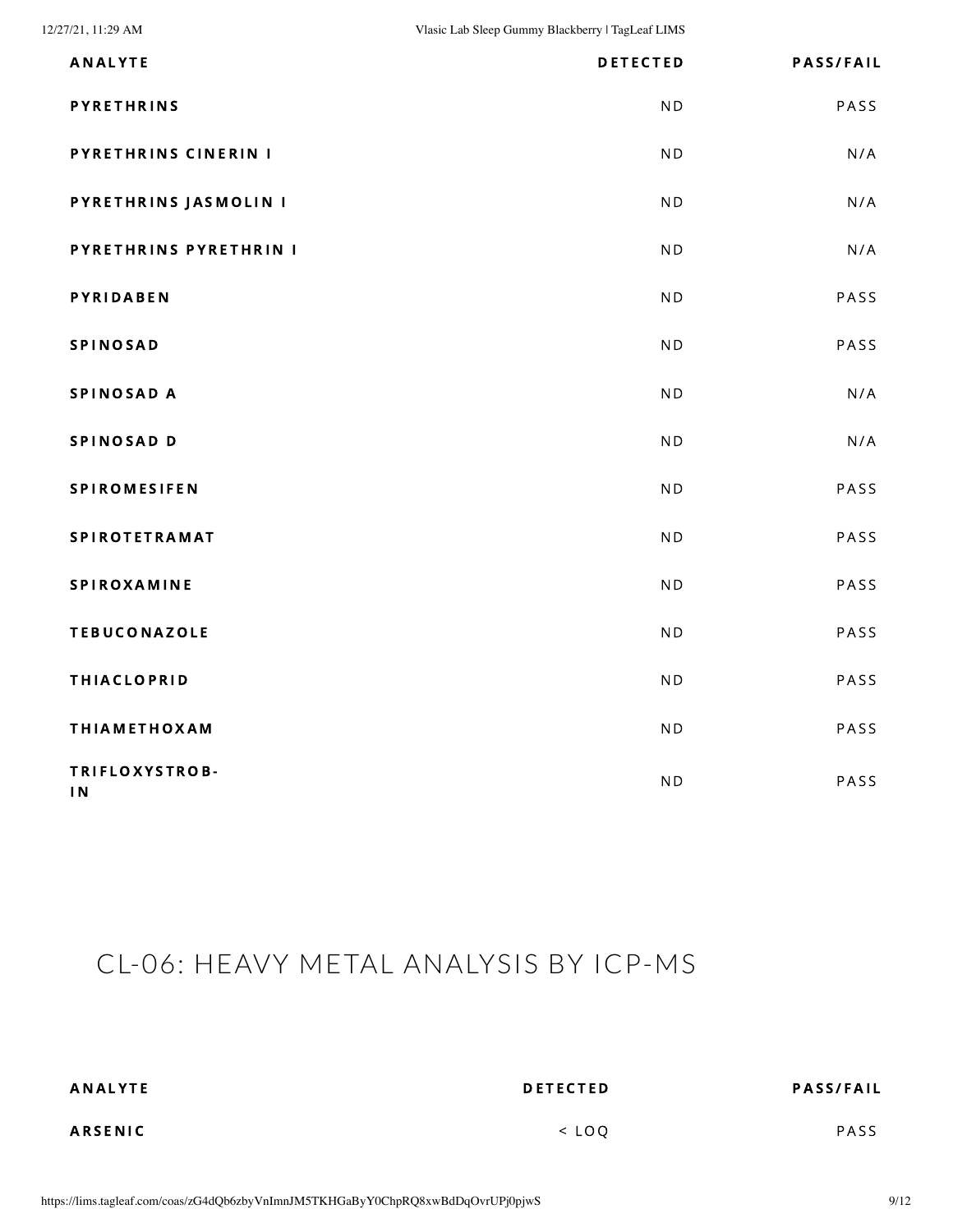| <b>ANALYTE</b>                   | <b>DETECTED</b> | <b>PASS/FAIL</b> |
|----------------------------------|-----------------|------------------|
| <b>PYRETHRINS</b>                | N <sub>D</sub>  | PASS             |
| PYRETHRINS CINERIN I             | N <sub>D</sub>  | N/A              |
| PYRETHRINS JASMOLIN I            | N <sub>D</sub>  | N/A              |
| PYRETHRINS PYRETHRIN I           | N <sub>D</sub>  | N/A              |
| <b>PYRIDABEN</b>                 | N <sub>D</sub>  | PASS             |
| <b>SPINOSAD</b>                  | N <sub>D</sub>  | PASS             |
| SPINOSAD A                       | N <sub>D</sub>  | N/A              |
| SPINOSAD D                       | N <sub>D</sub>  | N/A              |
| <b>SPIROMESIFEN</b>              | N <sub>D</sub>  | PASS             |
| <b>SPIROTETRAMAT</b>             | N <sub>D</sub>  | PASS             |
| SPIROXAMINE                      | N <sub>D</sub>  | PASS             |
| <b>TEBUCONAZOLE</b>              | N <sub>D</sub>  | PASS             |
| <b>THIACLOPRID</b>               | N <sub>D</sub>  | PASS             |
| <b>THIAMETHOXAM</b>              | N <sub>D</sub>  | PASS             |
| TRIFLOXYSTROB-<br>1 <sub>N</sub> | N <sub>D</sub>  | PASS             |

## <span id="page-8-0"></span>CL-06: HEAVY METAL ANALYSIS BY ICP-MS

| <b>ANALYTE</b> | <b>DETECTED</b> | <b>PASS/FAIL</b> |
|----------------|-----------------|------------------|
| <b>ARSENIC</b> | $<$ LOO         | <b>PASS</b>      |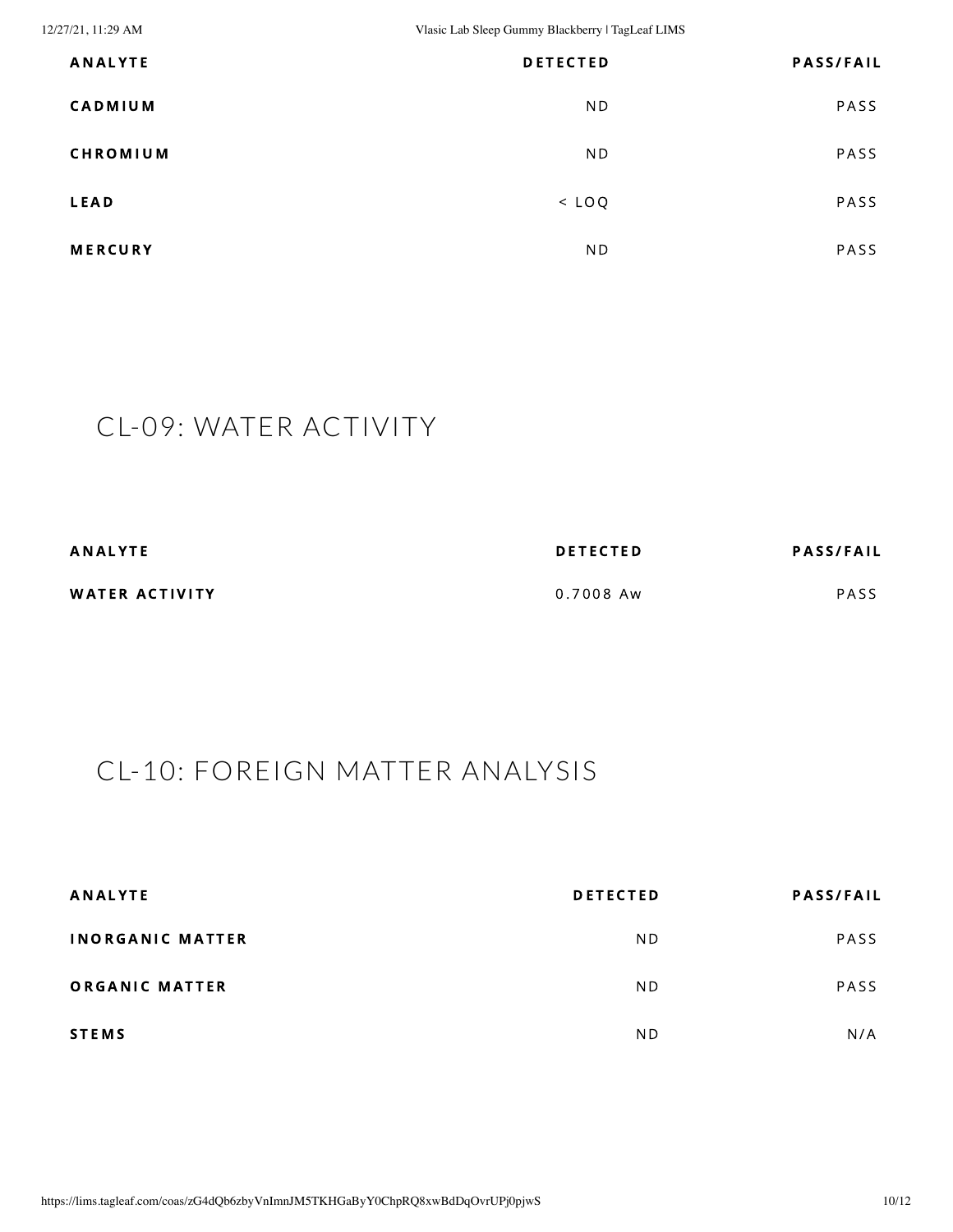12/27/21, 11:29 AM Vlasic Lab Sleep Gummy Blackberry | TagLeaf LIMS

| <b>ANALYTE</b>  | <b>DETECTED</b> | <b>PASS/FAIL</b> |
|-----------------|-----------------|------------------|
| <b>CADMIUM</b>  | N <sub>D</sub>  | PASS             |
| <b>CHROMIUM</b> | N <sub>D</sub>  | PASS             |
| <b>LEAD</b>     | $<$ LOQ         | PASS             |
| <b>MERCURY</b>  | N <sub>D</sub>  | PASS             |

## <span id="page-9-0"></span>CL-09: WATER ACTIVITY

| <b>ANALYTE</b> | <b>DETECTED</b> | <b>PASS/FAIL</b> |
|----------------|-----------------|------------------|
| WATER ACTIVITY | 0.7008 Aw       | PASS             |

## <span id="page-9-1"></span>CL-10: FOREIGN MATTER ANALYSIS

| <b>ANALYTE</b>          | <b>DETECTED</b> | <b>PASS/FAIL</b> |
|-------------------------|-----------------|------------------|
| <b>INORGANIC MATTER</b> | N <sub>D</sub>  | PASS             |
| ORGANIC MATTER          | N <sub>D</sub>  | <b>PASS</b>      |
| <b>STEMS</b>            | N <sub>D</sub>  | N/A              |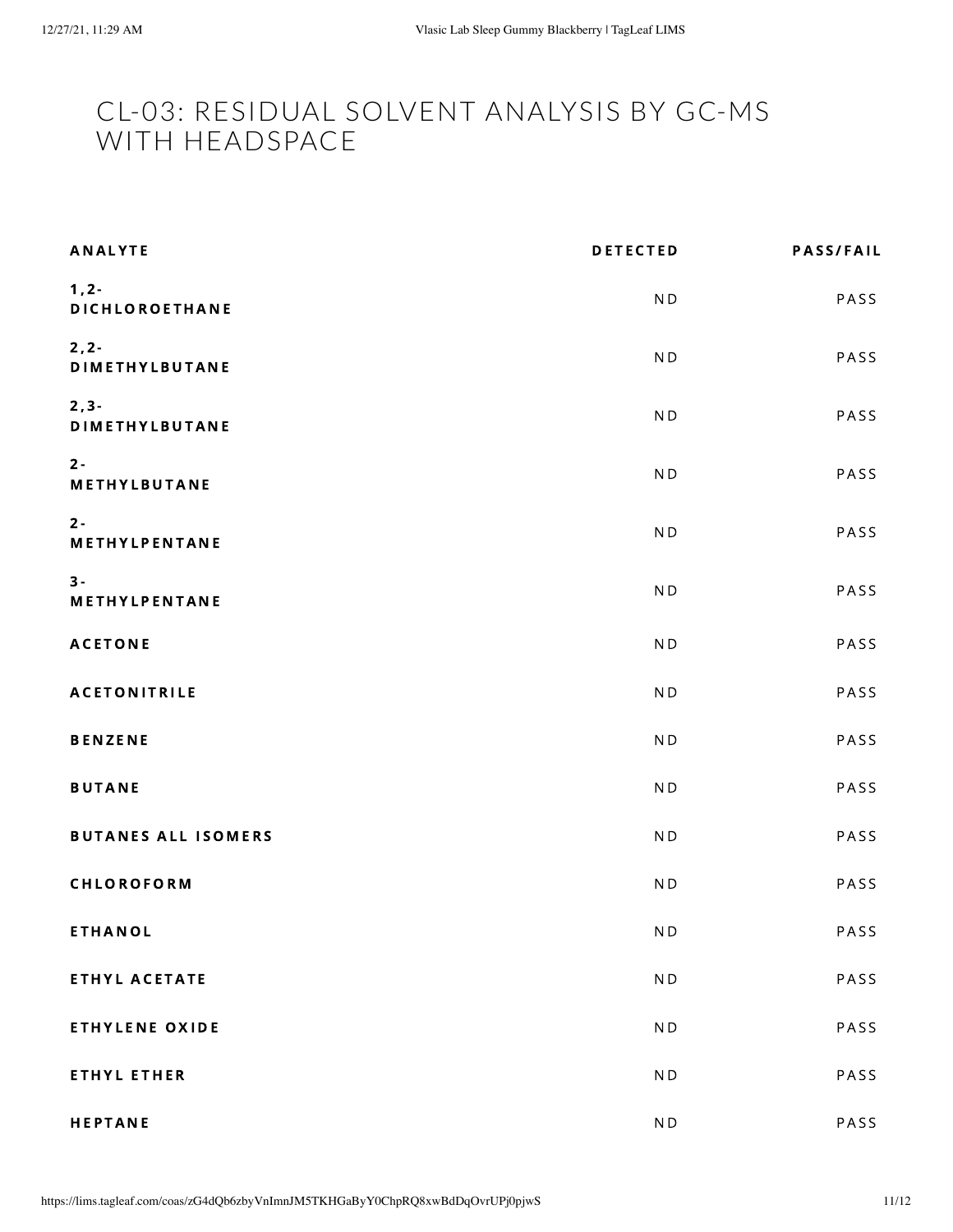#### <span id="page-10-0"></span>CL-03: RESIDUAL SOLVENT ANALYSIS BY GC-MS WITH HEADSPACE

| <b>ANALYTE</b>                    | <b>DETECTED</b>          | <b>PASS/FAIL</b> |
|-----------------------------------|--------------------------|------------------|
| $1, 2 -$<br>DICHLOROETHANE        | N <sub>D</sub>           | PASS             |
| $2, 2 -$<br><b>DIMETHYLBUTANE</b> | N <sub>D</sub>           | PASS             |
| $2, 3 -$<br><b>DIMETHYLBUTANE</b> | N <sub>D</sub>           | PASS             |
| $2 -$<br>METHYLBUTANE             | N <sub>D</sub>           | PASS             |
| $2 -$<br>METHYLPENTANE            | N <sub>D</sub>           | PASS             |
| $3 -$<br>METHYLPENTANE            | N <sub>D</sub>           | PASS             |
| <b>ACETONE</b>                    | N <sub>D</sub>           | PASS             |
| <b>ACETONITRILE</b>               | N <sub>D</sub>           | PASS             |
| <b>BENZENE</b>                    | N <sub>D</sub>           | PASS             |
| <b>BUTANE</b>                     | N <sub>D</sub>           | PASS             |
| <b>BUTANES ALL ISOMERS</b>        | N <sub>D</sub>           | PASS             |
| CHLOROFORM                        | N <sub>D</sub>           | PASS             |
| <b>ETHANOL</b>                    | $\mathsf{N}\,\mathsf{D}$ | PASS             |
| ETHYL ACETATE                     | N <sub>D</sub>           | PASS             |
| <b>ETHYLENE OXIDE</b>             | N <sub>D</sub>           | PASS             |
| <b>ETHYL ETHER</b>                | N <sub>D</sub>           | PASS             |
| <b>HEPTANE</b>                    | $\mathsf{N}\,\mathsf{D}$ | PASS             |